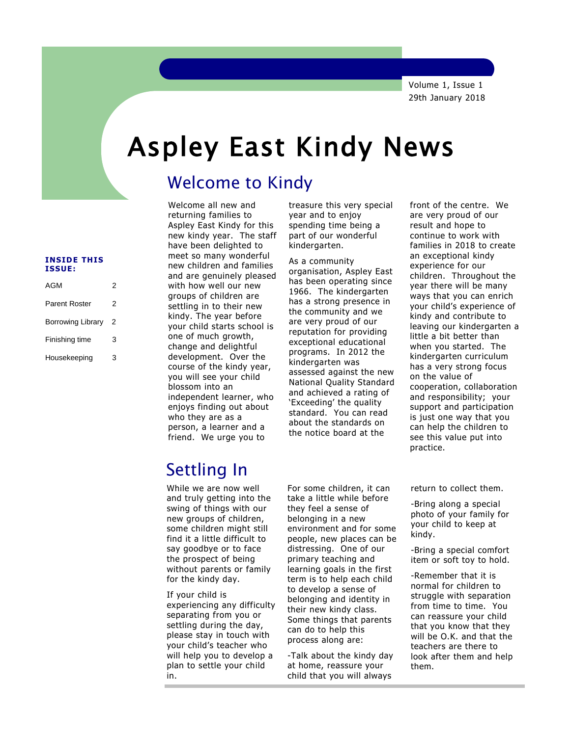Volume 1, Issue 1 29th January 2018

# Aspley East Kindy News

# Welcome to Kindy

returning families to Aspley East Kindy for this new kindy year. The staff have been delighted to meet so many wonderful new children and families and are genuinely pleased with how well our new groups of children are settling in to their new kindy. The year before your child starts school is one of much growth, change and delightful development. Over the course of the kindy year, you will see your child blossom into an independent learner, who enjoys finding out about who they are as a person, a learner and a friend. We urge you to

Welcome all new and

 treasure this very special year and to enjoy spending time being a part of our wonderful kindergarten.

As a community organisation, Aspley East has been operating since 1966. The kindergarten has a strong presence in the community and we are very proud of our reputation for providing exceptional educational programs. In 2012 the kindergarten was assessed against the new National Quality Standard and achieved a rating of 'Exceeding' the quality standard. You can read about the standards on the notice board at the

front of the centre. We are very proud of our result and hope to continue to work with families in 2018 to create an exceptional kindy experience for our children. Throughout the year there will be many ways that you can enrich your child's experience of kindy and contribute to leaving our kindergarten a little a bit better than when you started. The kindergarten curriculum has a very strong focus on the value of cooperation, collaboration and responsibility; your support and participation is just one way that you can help the children to see this value put into practice.

# Settling In

While we are now well and truly getting into the swing of things with our new groups of children, some children might still find it a little difficult to say goodbye or to face the prospect of being without parents or family for the kindy day.

If your child is experiencing any difficulty separating from you or settling during the day, please stay in touch with your child's teacher who will help you to develop a plan to settle your child in.

For some children, it can take a little while before they feel a sense of belonging in a new environment and for some people, new places can be distressing. One of our primary teaching and learning goals in the first term is to help each child to develop a sense of belonging and identity in their new kindy class. Some things that parents can do to help this process along are:

-Talk about the kindy day at home, reassure your child that you will always

return to collect them.

-Bring along a special photo of your family for your child to keep at kindy.

-Bring a special comfort item or soft toy to hold.

-Remember that it is normal for children to struggle with separation from time to time. You can reassure your child that you know that they will be O.K. and that the teachers are there to look after them and help them.

### **INSIDE THIS ISSUE:**

| AGM                  | 2 |  |
|----------------------|---|--|
| <b>Parent Roster</b> | 2 |  |
| Borrowing Library    | 2 |  |
| Finishing time       | 3 |  |
| Housekeeping         | 3 |  |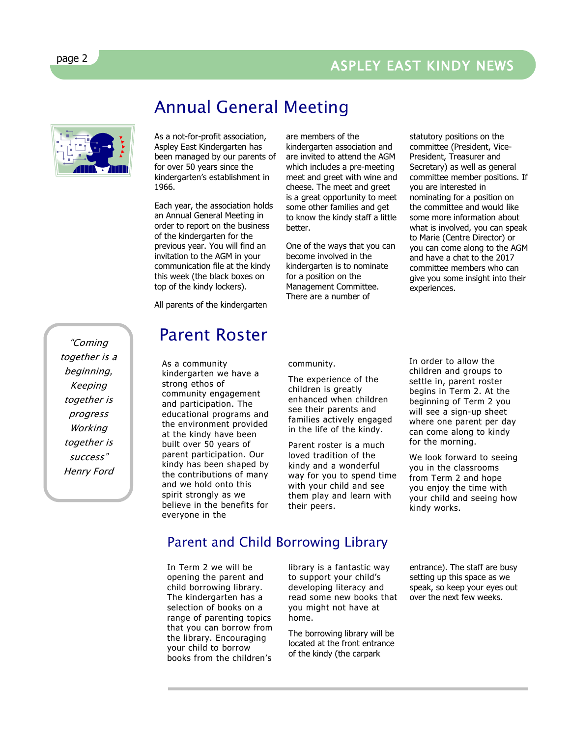# ASPLEY EAST KINDY NEWS



As a not-for-profit association, Aspley East Kindergarten has been managed by our parents of for over 50 years since the kindergarten's establishment in 1966.

Annual General Meeting

Each year, the association holds an Annual General Meeting in order to report on the business of the kindergarten for the previous year. You will find an invitation to the AGM in your communication file at the kindy this week (the black boxes on top of the kindy lockers).

All parents of the kindergarten

# Parent Roster

As a community kindergarten we have a strong ethos of community engagement and participation. The educational programs and the environment provided at the kindy have been built over 50 years of parent participation. Our kindy has been shaped by the contributions of many and we hold onto this spirit strongly as we believe in the benefits for everyone in the

are members of the kindergarten association and are invited to attend the AGM which includes a pre-meeting meet and greet with wine and cheese. The meet and greet is a great opportunity to meet some other families and get to know the kindy staff a little better.

One of the ways that you can become involved in the kindergarten is to nominate for a position on the Management Committee. There are a number of

statutory positions on the committee (President, Vice-President, Treasurer and Secretary) as well as general committee member positions. If you are interested in nominating for a position on the committee and would like some more information about what is involved, you can speak to Marie (Centre Director) or you can come along to the AGM and have a chat to the 2017 committee members who can give you some insight into their experiences.

community.

The experience of the children is greatly enhanced when children see their parents and families actively engaged in the life of the kindy.

Parent roster is a much loved tradition of the kindy and a wonderful way for you to spend time with your child and see them play and learn with their peers.

In order to allow the children and groups to sectic in, parent roster<br>begins in Term 2. At the beginning of Term 2 you will see a sign-up sheet where one parent per day settle in, parent roster can come along to kindy for the morning.

We look forward to seeing you in the classrooms from Term 2 and hope you enjoy the time with your child and seeing how kindy works.

## Parent and Child Borrowing Library

In Term 2 we will be opening the parent and child borrowing library. The kindergarten has a selection of books on a range of parenting topics that you can borrow from the library. Encouraging your child to borrow books from the children's

library is a fantastic way to support your child's developing literacy and read some new books that you might not have at home.

The borrowing library will be located at the front entrance of the kindy (the carpark

entrance). The staff are busy setting up this space as we speak, so keep your eyes out over the next few weeks.

"Coming together is a beginning, Keeping together is progress **Working** together is success" Henry Ford